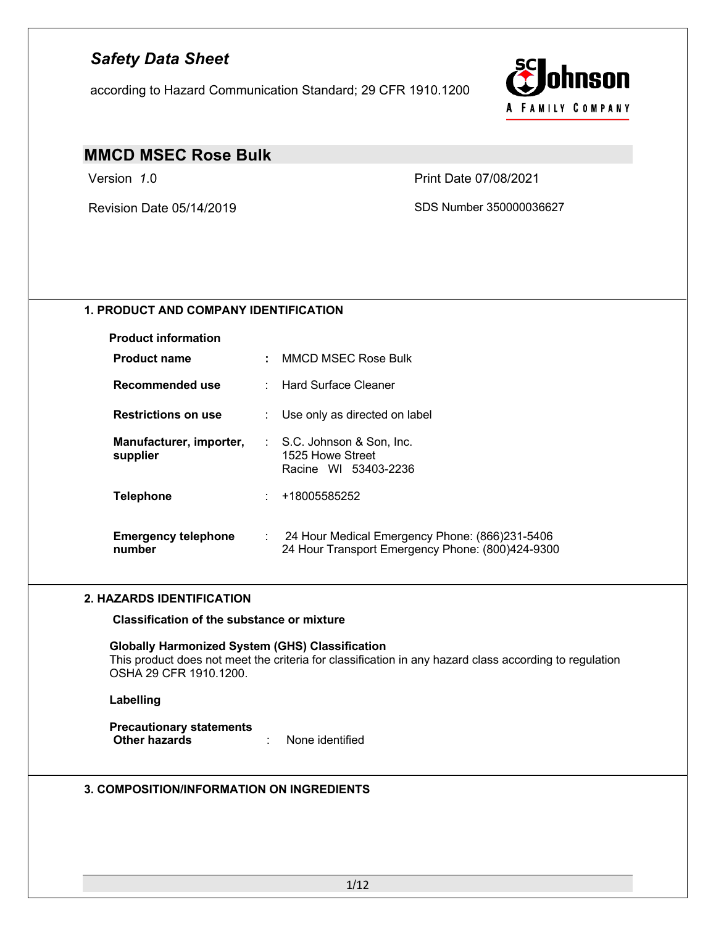according to Hazard Communication Standard; 29 CFR 1910.1200



## **MMCD MSEC Rose Bulk**

Version *1*.0 Print Date 07/08/2021

Revision Date 05/14/2019 SDS Number 350000036627

## **1. PRODUCT AND COMPANY IDENTIFICATION**

| <b>Product information</b>           |                                                                                                                 |
|--------------------------------------|-----------------------------------------------------------------------------------------------------------------|
| <b>Product name</b>                  | : MMCD MSEC Rose Bulk                                                                                           |
| Recommended use                      |                                                                                                                 |
| <b>Restrictions on use</b>           | : Use only as directed on label                                                                                 |
| Manufacturer, importer,<br>supplier  | : S.C. Johnson & Son, Inc.<br>1525 Howe Street<br>Racine WI 53403-2236                                          |
| <b>Telephone</b>                     | : 48005585252                                                                                                   |
| <b>Emergency telephone</b><br>number | $\therefore$ 24 Hour Medical Emergency Phone: (866)231-5406<br>24 Hour Transport Emergency Phone: (800)424-9300 |

### **2. HAZARDS IDENTIFICATION**

**Classification of the substance or mixture**

**Globally Harmonized System (GHS) Classification** This product does not meet the criteria for classification in any hazard class according to regulation OSHA 29 CFR 1910.1200.

#### **Labelling**

**Precautionary statements Other hazards** : None identified

### **3. COMPOSITION/INFORMATION ON INGREDIENTS**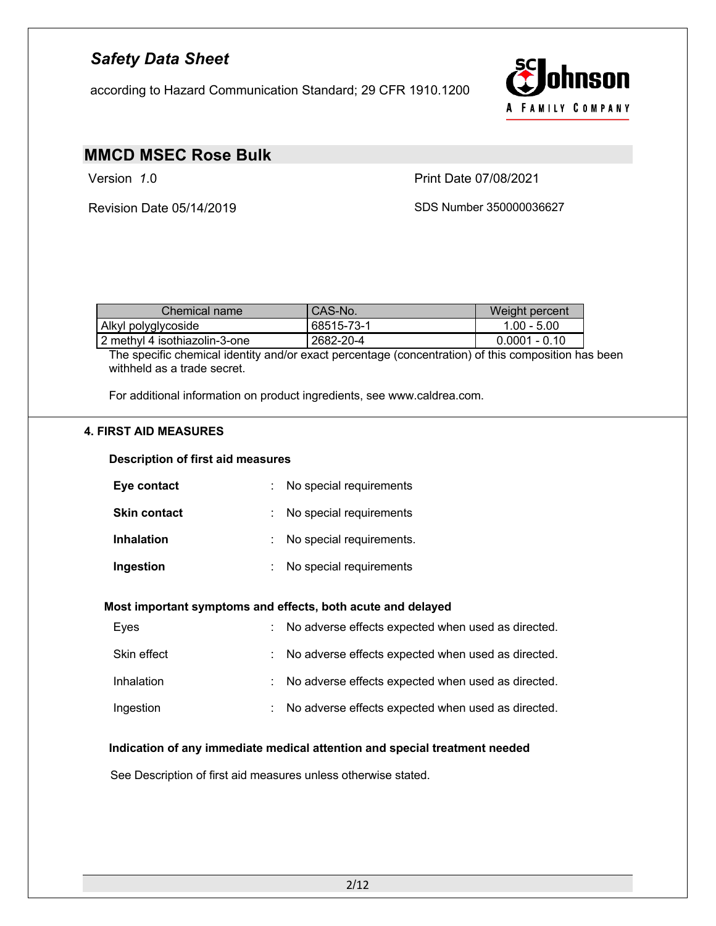according to Hazard Communication Standard; 29 CFR 1910.1200



# **MMCD MSEC Rose Bulk**

Version *1*.0 Print Date 07/08/2021

Revision Date 05/14/2019 SDS Number 350000036627

| Chemical name                 | CAS-No.    | Weight percent  |
|-------------------------------|------------|-----------------|
| - Alkyl polyglycoside         | 68515-73-1 | $1.00 - 5.00$   |
| 2 methyl 4 isothiazolin-3-one | 2682-20-4  | $0.0001 - 0.10$ |

The specific chemical identity and/or exact percentage (concentration) of this composition has been withheld as a trade secret.

For additional information on product ingredients, see www.caldrea.com.

## **4. FIRST AID MEASURES**

#### **Description of first aid measures**

| Eye contact         | : No special requirements  |
|---------------------|----------------------------|
| <b>Skin contact</b> | : No special requirements  |
| <b>Inhalation</b>   | : No special requirements. |
| Ingestion           | No special requirements    |

#### **Most important symptoms and effects, both acute and delayed**

| Eyes        | : No adverse effects expected when used as directed. |
|-------------|------------------------------------------------------|
| Skin effect | : No adverse effects expected when used as directed. |
| Inhalation  | : No adverse effects expected when used as directed. |
| Ingestion   | : No adverse effects expected when used as directed. |

#### **Indication of any immediate medical attention and special treatment needed**

See Description of first aid measures unless otherwise stated.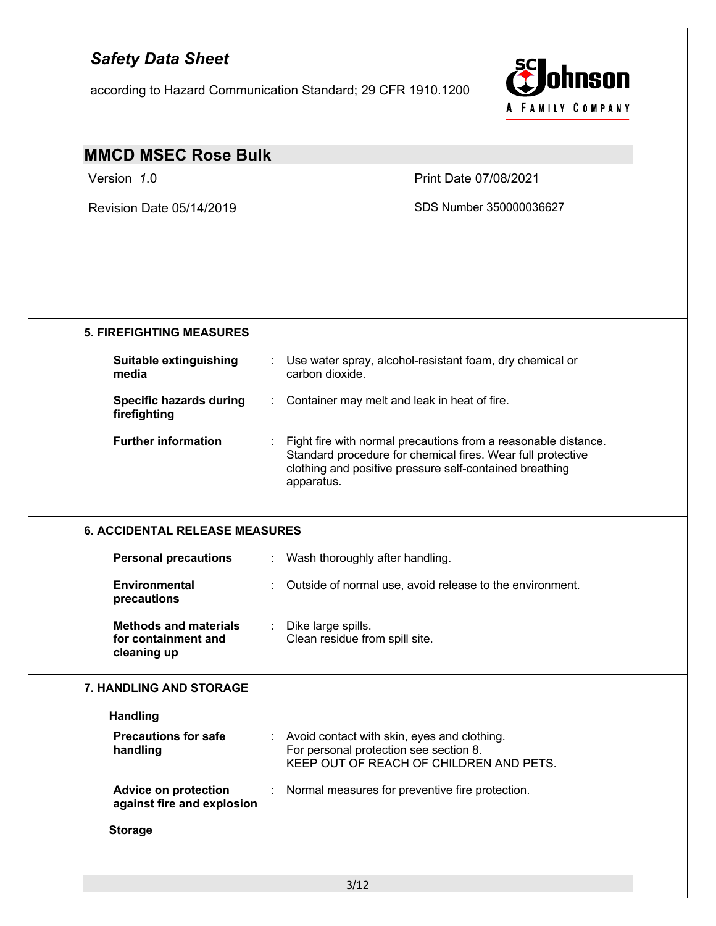according to Hazard Communication Standard; 29 CFR 1910.1200



# **MMCD MSEC Rose Bulk**

Version *1*.0 Print Date 07/08/2021

Revision Date 05/14/2019 SDS Number 350000036627

| <b>Suitable extinguishing</b><br>media                             |    | Use water spray, alcohol-resistant foam, dry chemical or<br>carbon dioxide.                                                                                                                            |
|--------------------------------------------------------------------|----|--------------------------------------------------------------------------------------------------------------------------------------------------------------------------------------------------------|
| <b>Specific hazards during</b><br>firefighting                     |    | Container may melt and leak in heat of fire.                                                                                                                                                           |
| <b>Further information</b>                                         |    | Fight fire with normal precautions from a reasonable distance.<br>Standard procedure for chemical fires. Wear full protective<br>clothing and positive pressure self-contained breathing<br>apparatus. |
| <b>6. ACCIDENTAL RELEASE MEASURES</b>                              |    |                                                                                                                                                                                                        |
| <b>Personal precautions</b>                                        | ÷. | Wash thoroughly after handling.                                                                                                                                                                        |
| <b>Environmental</b><br>precautions                                |    | Outside of normal use, avoid release to the environment.                                                                                                                                               |
| <b>Methods and materials</b><br>for containment and<br>cleaning up |    | Dike large spills.<br>Clean residue from spill site.                                                                                                                                                   |
| <b>7. HANDLING AND STORAGE</b>                                     |    |                                                                                                                                                                                                        |
| <b>Handling</b>                                                    |    |                                                                                                                                                                                                        |
| <b>Precautions for safe</b><br>handling                            |    | Avoid contact with skin, eyes and clothing.<br>For personal protection see section 8.<br>KEEP OUT OF REACH OF CHILDREN AND PETS.                                                                       |
|                                                                    |    | Normal measures for preventive fire protection.                                                                                                                                                        |
| <b>Advice on protection</b><br>against fire and explosion          |    |                                                                                                                                                                                                        |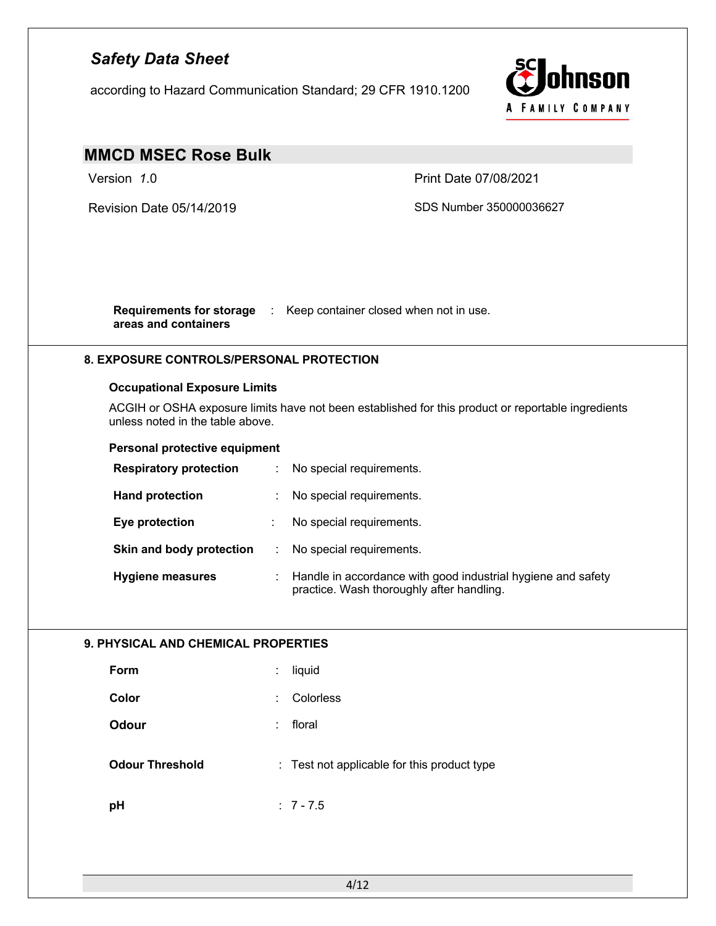according to Hazard Communication Standard; 29 CFR 1910.1200



# **MMCD MSEC Rose Bulk**

Version *1*.0 Print Date 07/08/2021

Revision Date 05/14/2019 SDS Number 350000036627

**Requirements for storage**  : Keep container closed when not in use. **areas and containers**

## **8. EXPOSURE CONTROLS/PERSONAL PROTECTION**

### **Occupational Exposure Limits**

ACGIH or OSHA exposure limits have not been established for this product or reportable ingredients unless noted in the table above.

#### **Personal protective equipment**

| <b>Respiratory protection</b> |   | No special requirements.                                                                                  |
|-------------------------------|---|-----------------------------------------------------------------------------------------------------------|
| <b>Hand protection</b>        |   | No special requirements.                                                                                  |
| Eye protection                | ÷ | No special requirements.                                                                                  |
| Skin and body protection      |   | No special requirements.                                                                                  |
| <b>Hygiene measures</b>       |   | Handle in accordance with good industrial hygiene and safety<br>practice. Wash thoroughly after handling. |

## **9. PHYSICAL AND CHEMICAL PROPERTIES**

| Form                   | liquid<br>÷                                 |
|------------------------|---------------------------------------------|
| Color                  | Colorless<br>÷                              |
| <b>Odour</b>           | floral<br>÷                                 |
| <b>Odour Threshold</b> | : Test not applicable for this product type |
| pH                     | $: 7 - 7.5$                                 |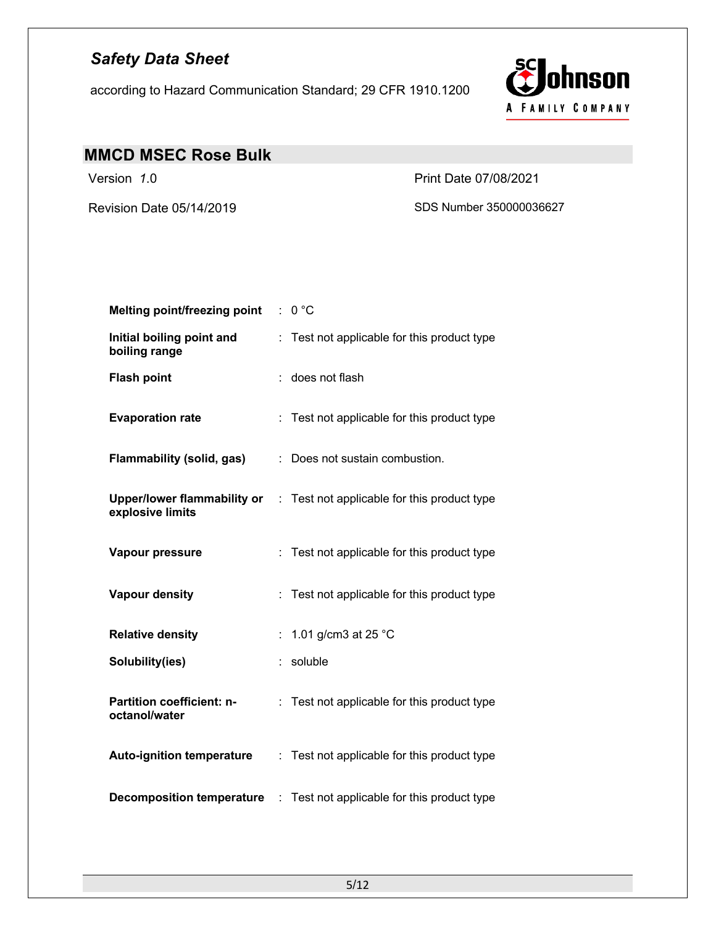according to Hazard Communication Standard; 29 CFR 1910.1200



# **MMCD MSEC Rose Bulk**

Revision Date 05/14/2019 SDS Number 350000036627

Version *1*.0 Print Date 07/08/2021

| <b>Melting point/freezing point</b>               |   | 0 °C                                                                                      |
|---------------------------------------------------|---|-------------------------------------------------------------------------------------------|
| Initial boiling point and<br>boiling range        |   | Test not applicable for this product type                                                 |
| <b>Flash point</b>                                |   | does not flash                                                                            |
| <b>Evaporation rate</b>                           |   | Test not applicable for this product type                                                 |
| <b>Flammability (solid, gas)</b>                  |   | : Does not sustain combustion.                                                            |
| explosive limits                                  |   | <b>Upper/lower flammability or</b> $\therefore$ Test not applicable for this product type |
| Vapour pressure                                   |   | Test not applicable for this product type                                                 |
| <b>Vapour density</b>                             |   | Test not applicable for this product type                                                 |
| <b>Relative density</b>                           | ÷ | 1.01 g/cm3 at 25 °C                                                                       |
| Solubility(ies)                                   |   | soluble                                                                                   |
| <b>Partition coefficient: n-</b><br>octanol/water | ÷ | Test not applicable for this product type                                                 |
| <b>Auto-ignition temperature</b>                  |   | : Test not applicable for this product type                                               |
| <b>Decomposition temperature</b>                  | ÷ | Test not applicable for this product type                                                 |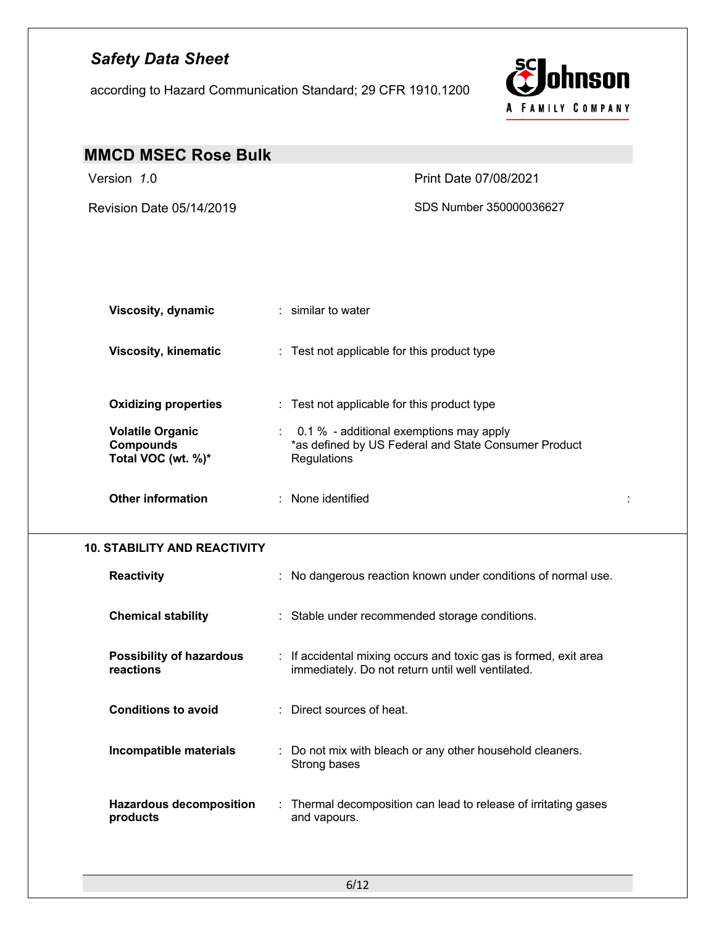according to Hazard Communication Standard; 29 CFR 1910.1200



| <b>MMCD MSEC Rose Bulk</b>                                        |                                                                                                                       |   |
|-------------------------------------------------------------------|-----------------------------------------------------------------------------------------------------------------------|---|
| Version 1.0                                                       | Print Date 07/08/2021                                                                                                 |   |
| Revision Date 05/14/2019                                          | SDS Number 350000036627                                                                                               |   |
| <b>Viscosity, dynamic</b>                                         | : similar to water                                                                                                    |   |
| <b>Viscosity, kinematic</b>                                       | : Test not applicable for this product type                                                                           |   |
| <b>Oxidizing properties</b>                                       | : Test not applicable for this product type                                                                           |   |
| <b>Volatile Organic</b><br><b>Compounds</b><br>Total VOC (wt. %)* | : 0.1 % - additional exemptions may apply<br>*as defined by US Federal and State Consumer Product<br>Regulations      |   |
| <b>Other information</b>                                          | : None identified                                                                                                     | ÷ |
| <b>10. STABILITY AND REACTIVITY</b>                               |                                                                                                                       |   |
| <b>Reactivity</b>                                                 | : No dangerous reaction known under conditions of normal use.                                                         |   |
| <b>Chemical stability</b>                                         | : Stable under recommended storage conditions.                                                                        |   |
| <b>Possibility of hazardous</b><br>reactions                      | : If accidental mixing occurs and toxic gas is formed, exit area<br>immediately. Do not return until well ventilated. |   |
| <b>Conditions to avoid</b>                                        | : Direct sources of heat.                                                                                             |   |
| Incompatible materials                                            | : Do not mix with bleach or any other household cleaners.<br>Strong bases                                             |   |
| <b>Hazardous decomposition</b><br>products                        | : Thermal decomposition can lead to release of irritating gases<br>and vapours.                                       |   |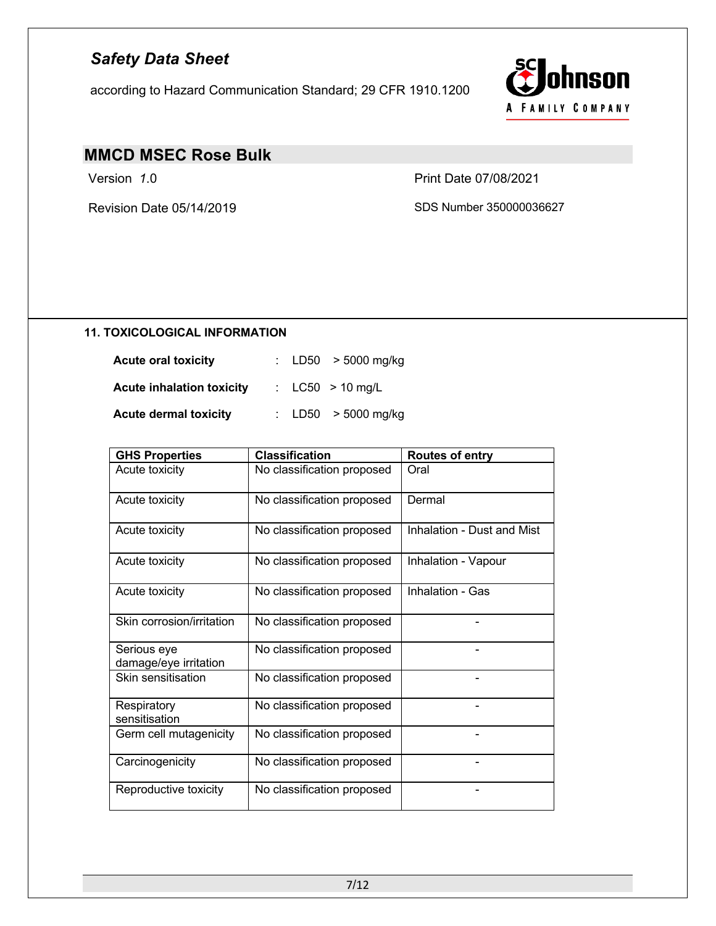according to Hazard Communication Standard; 29 CFR 1910.1200



# **MMCD MSEC Rose Bulk**

Version *1*.0 Print Date 07/08/2021

Revision Date 05/14/2019 SDS Number 350000036627

## **11. TOXICOLOGICAL INFORMATION**

| <b>Acute oral toxicity</b>       | : $LD50 > 5000$ mg/kg |
|----------------------------------|-----------------------|
| <b>Acute inhalation toxicity</b> | : $LC50 > 10$ mg/L    |
| <b>Acute dermal toxicity</b>     | : $LD50 > 5000$ mg/kg |

| <b>GHS Properties</b>                | <b>Classification</b>      | <b>Routes of entry</b>     |
|--------------------------------------|----------------------------|----------------------------|
| Acute toxicity                       | No classification proposed | Oral                       |
| Acute toxicity                       | No classification proposed | Dermal                     |
| Acute toxicity                       | No classification proposed | Inhalation - Dust and Mist |
| Acute toxicity                       | No classification proposed | Inhalation - Vapour        |
| Acute toxicity                       | No classification proposed | Inhalation - Gas           |
| Skin corrosion/irritation            | No classification proposed |                            |
| Serious eye<br>damage/eye irritation | No classification proposed |                            |
| Skin sensitisation                   | No classification proposed |                            |
| Respiratory<br>sensitisation         | No classification proposed |                            |
| Germ cell mutagenicity               | No classification proposed |                            |
| Carcinogenicity                      | No classification proposed |                            |
| Reproductive toxicity                | No classification proposed |                            |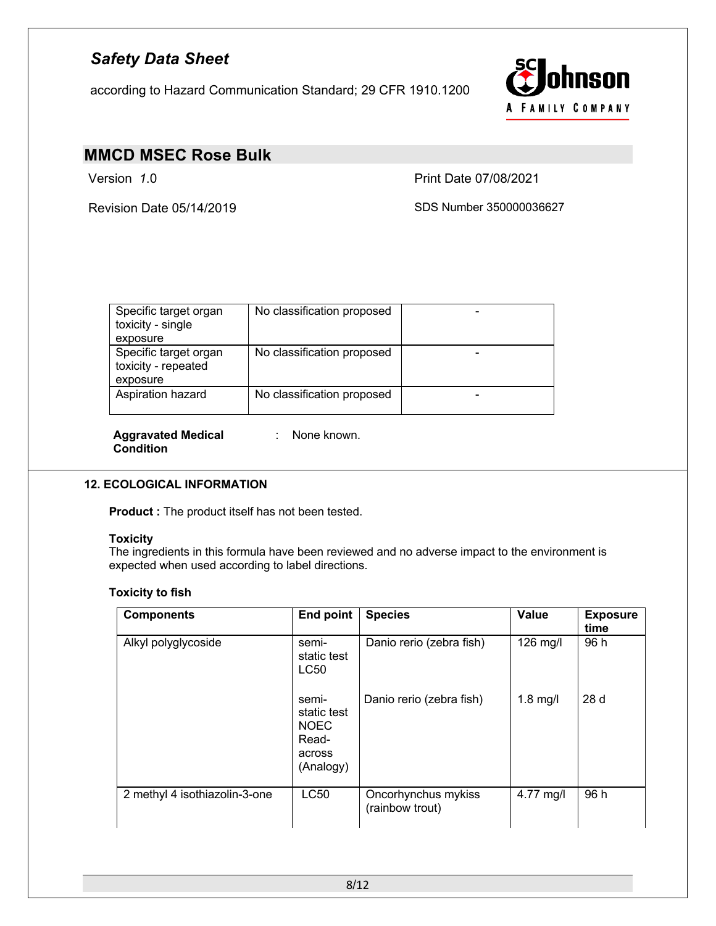according to Hazard Communication Standard; 29 CFR 1910.1200



# **MMCD MSEC Rose Bulk**

Version *1*.0 Print Date 07/08/2021

Revision Date 05/14/2019 SDS Number 350000036627

| Specific target organ<br>toxicity - single               | No classification proposed |  |
|----------------------------------------------------------|----------------------------|--|
| exposure                                                 |                            |  |
| Specific target organ<br>toxicity - repeated<br>exposure | No classification proposed |  |
| Aspiration hazard                                        | No classification proposed |  |

**Aggravated Medical Condition**

: None known.

### **12. ECOLOGICAL INFORMATION**

**Product :** The product itself has not been tested.

#### **Toxicity**

The ingredients in this formula have been reviewed and no adverse impact to the environment is expected when used according to label directions.

### **Toxicity to fish**

| <b>Components</b>             | <b>End point</b>                                                    | <b>Species</b>                         | <b>Value</b> | <b>Exposure</b><br>time |
|-------------------------------|---------------------------------------------------------------------|----------------------------------------|--------------|-------------------------|
| Alkyl polyglycoside           | semi-<br>static test<br>LC50                                        | Danio rerio (zebra fish)               | 126 mg/l     | 96 h                    |
|                               | semi-<br>static test<br><b>NOEC</b><br>Read-<br>across<br>(Analogy) | Danio rerio (zebra fish)               | $1.8$ mg/l   | 28 d                    |
| 2 methyl 4 isothiazolin-3-one | LC50                                                                | Oncorhynchus mykiss<br>(rainbow trout) | 4.77 mg/l    | 96 h                    |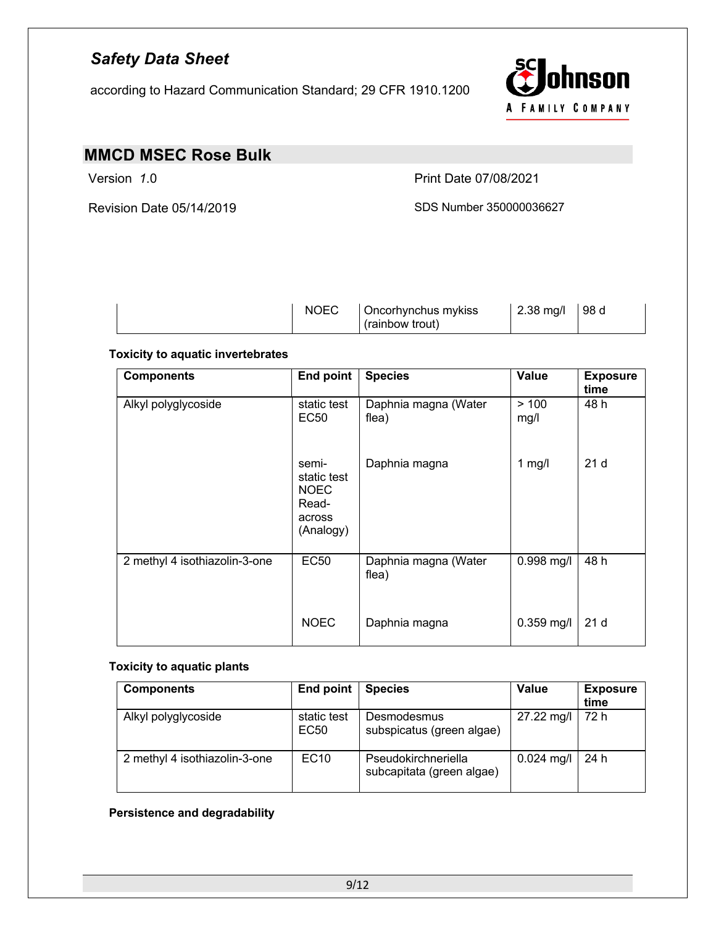according to Hazard Communication Standard; 29 CFR 1910.1200



## **MMCD MSEC Rose Bulk**

Version *1*.0 Print Date 07/08/2021

Revision Date 05/14/2019 SDS Number 350000036627

| <b>NOEC</b><br>$2.38$ mg/l<br>98 d<br>Oncorhynchus mykiss<br>(rainbow trout) |  |
|------------------------------------------------------------------------------|--|
|------------------------------------------------------------------------------|--|

## **Toxicity to aquatic invertebrates**

| <b>Components</b>             | End point                                                           | <b>Species</b>                | <b>Value</b> | <b>Exposure</b><br>time |
|-------------------------------|---------------------------------------------------------------------|-------------------------------|--------------|-------------------------|
| Alkyl polyglycoside           | static test<br><b>EC50</b>                                          | Daphnia magna (Water<br>flea) | >100<br>mg/l | 48 h                    |
|                               | semi-<br>static test<br><b>NOEC</b><br>Read-<br>across<br>(Analogy) | Daphnia magna                 | 1 $mg/l$     | 21 <sub>d</sub>         |
| 2 methyl 4 isothiazolin-3-one | <b>EC50</b>                                                         | Daphnia magna (Water<br>flea) | $0.998$ mg/l | 48 h                    |
|                               | <b>NOEC</b>                                                         | Daphnia magna                 | $0.359$ mg/l | 21 <sub>d</sub>         |

### **Toxicity to aquatic plants**

| <b>Components</b>             | End point                       | <b>Species</b>                                   | <b>Value</b> | <b>Exposure</b><br>time |
|-------------------------------|---------------------------------|--------------------------------------------------|--------------|-------------------------|
| Alkyl polyglycoside           | static test<br>EC <sub>50</sub> | Desmodesmus<br>subspicatus (green algae)         | 27.22 mg/l   | 72 h                    |
| 2 methyl 4 isothiazolin-3-one | <b>EC10</b>                     | Pseudokirchneriella<br>subcapitata (green algae) | $0.024$ mg/l | 24 h                    |

## **Persistence and degradability**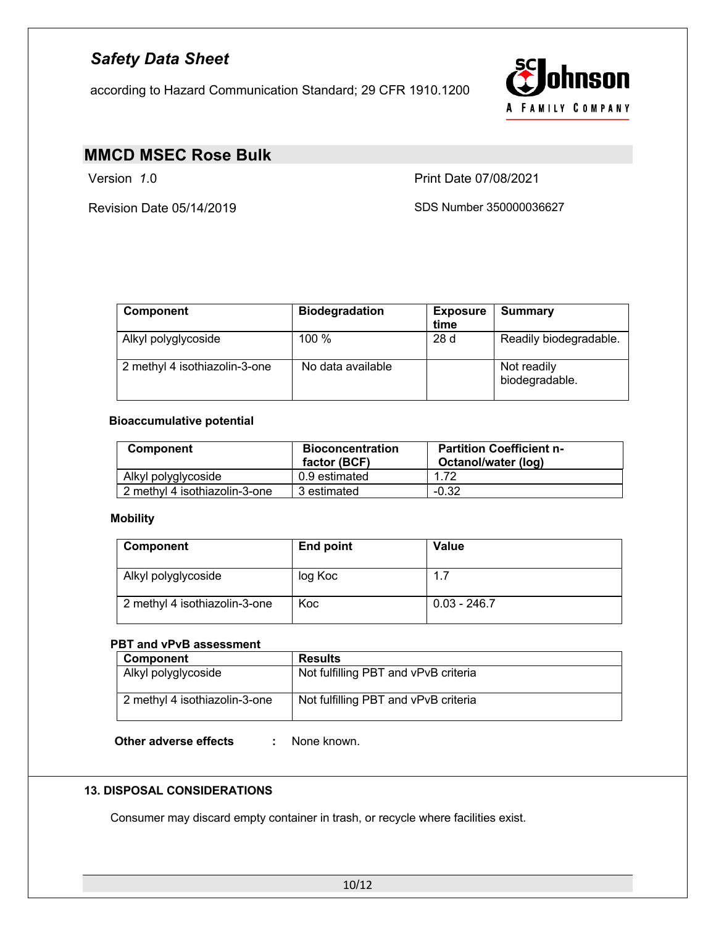according to Hazard Communication Standard; 29 CFR 1910.1200



## **MMCD MSEC Rose Bulk**

Version *1*.0 Print Date 07/08/2021

Revision Date 05/14/2019 SDS Number 350000036627

| <b>Component</b>              | <b>Biodegradation</b> | <b>Exposure</b><br>time | <b>Summary</b>                |
|-------------------------------|-----------------------|-------------------------|-------------------------------|
| Alkyl polyglycoside           | 100 %                 | 28d                     | Readily biodegradable.        |
| 2 methyl 4 isothiazolin-3-one | No data available     |                         | Not readily<br>biodegradable. |

## **Bioaccumulative potential**

| <b>Component</b>              | <b>Bioconcentration</b><br>factor (BCF) | <b>Partition Coefficient n-</b><br>Octanol/water (log) |  |
|-------------------------------|-----------------------------------------|--------------------------------------------------------|--|
| Alkyl polyglycoside           | 0.9 estimated                           | 1.72                                                   |  |
| 2 methyl 4 isothiazolin-3-one | 3 estimated                             | $-0.32$                                                |  |

### **Mobility**

| Component                     | <b>End point</b> | Value          |
|-------------------------------|------------------|----------------|
| Alkyl polyglycoside           | log Koc          | 1.7            |
| 2 methyl 4 isothiazolin-3-one | Koc              | $0.03 - 246.7$ |

## **PBT and vPvB assessment**

| Component                     | <b>Results</b>                       |
|-------------------------------|--------------------------------------|
| Alkyl polyglycoside           | Not fulfilling PBT and vPvB criteria |
|                               |                                      |
| 2 methyl 4 isothiazolin-3-one | Not fulfilling PBT and vPvB criteria |
|                               |                                      |

**Other adverse effects :** None known.

### **13. DISPOSAL CONSIDERATIONS**

Consumer may discard empty container in trash, or recycle where facilities exist.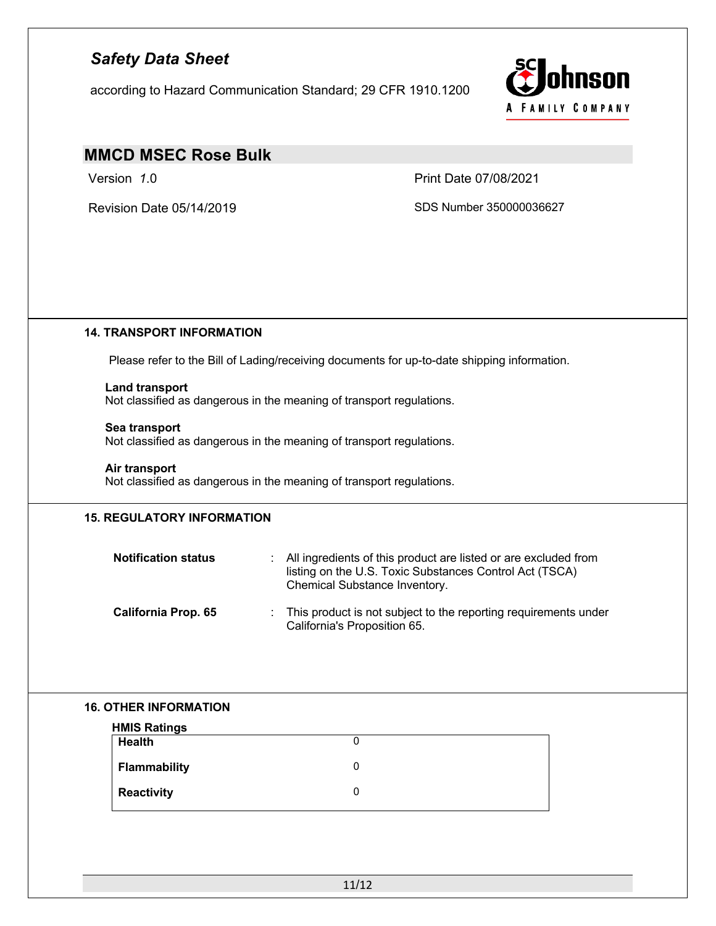according to Hazard Communication Standard; 29 CFR 1910.1200



# **MMCD MSEC Rose Bulk**

Version *1*.0 Print Date 07/08/2021

Revision Date 05/14/2019 SDS Number 350000036627

### **14. TRANSPORT INFORMATION**

Please refer to the Bill of Lading/receiving documents for up-to-date shipping information.

## **Land transport**

Not classified as dangerous in the meaning of transport regulations.

#### **Sea transport**

Not classified as dangerous in the meaning of transport regulations.

#### **Air transport**

Not classified as dangerous in the meaning of transport regulations.

### **15. REGULATORY INFORMATION**

| <b>Notification status</b> | : All ingredients of this product are listed or are excluded from<br>listing on the U.S. Toxic Substances Control Act (TSCA)<br>Chemical Substance Inventory. |
|----------------------------|---------------------------------------------------------------------------------------------------------------------------------------------------------------|
| <b>California Prop. 65</b> | This product is not subject to the reporting requirements under<br>California's Proposition 65.                                                               |

### **16. OTHER INFORMATION**

| <b>HMIS Ratings</b> |  |
|---------------------|--|
| <b>Health</b>       |  |
| Flammability        |  |
| Reactivity          |  |